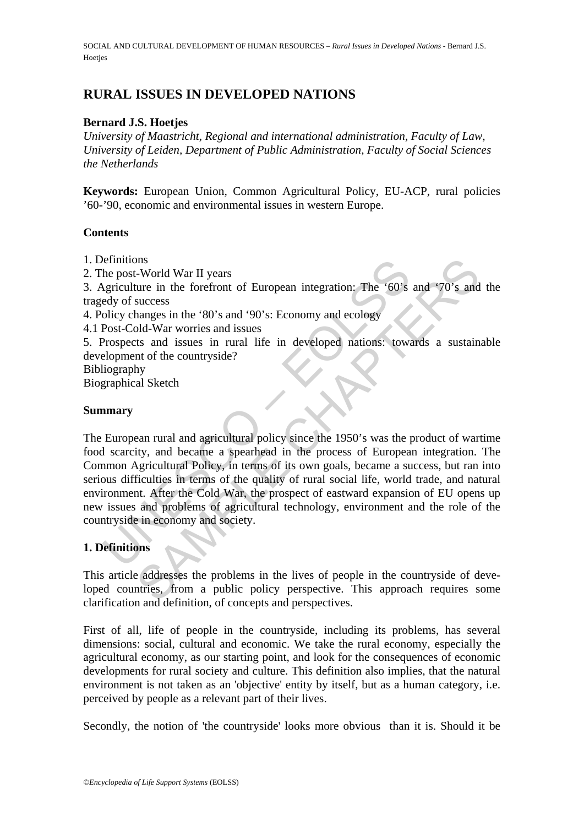## **RURAL ISSUES IN DEVELOPED NATIONS**

### **Bernard J.S. Hoetjes**

*University of Maastricht, Regional and international administration, Faculty of Law, University of Leiden, Department of Public Administration, Faculty of Social Sciences the Netherlands* 

**Keywords:** European Union, Common Agricultural Policy, EU-ACP, rural policies '60-'90, economic and environmental issues in western Europe.

#### **Contents**

- 1. Definitions
- 2. The post-World War II years

3. Agriculture in the forefront of European integration: The '60's and '70's and the tragedy of success

4. Policy changes in the '80's and '90's: Economy and ecology

4.1 Post-Cold-War worries and issues

5. Prospects and issues in rural life in developed nations: towards a sustainable development of the countryside?

Bibliography

Biographical Sketch

### **Summary**

be post-World War II years<br>
herouthors are precedible war II years<br>
dedy of success<br>
olicy changes in the '80's and '90's: Economy and ecology<br>
Post-Cold-War worries and issues<br>
Prospects and issues in rural life in develo The Voorld War II years<br>
The interpret in the forefront of European integration: The '60's and '70's and<br>
success<br>
success<br>
success in the '80's and '90's: Economy and ecology<br>
Subdol War worries and issues in rural life i The European rural and agricultural policy since the 1950's was the product of wartime food scarcity, and became a spearhead in the process of European integration. The Common Agricultural Policy, in terms of its own goals, became a success, but ran into serious difficulties in terms of the quality of rural social life, world trade, and natural environment. After the Cold War, the prospect of eastward expansion of EU opens up new issues and problems of agricultural technology, environment and the role of the countryside in economy and society.

## **1. Definitions**

This article addresses the problems in the lives of people in the countryside of developed countries, from a public policy perspective. This approach requires some clarification and definition, of concepts and perspectives.

First of all, life of people in the countryside, including its problems, has several dimensions: social, cultural and economic. We take the rural economy, especially the agricultural economy, as our starting point, and look for the consequences of economic developments for rural society and culture. This definition also implies, that the natural environment is not taken as an 'objective' entity by itself, but as a human category, i.e. perceived by people as a relevant part of their lives.

Secondly, the notion of 'the countryside' looks more obvious than it is. Should it be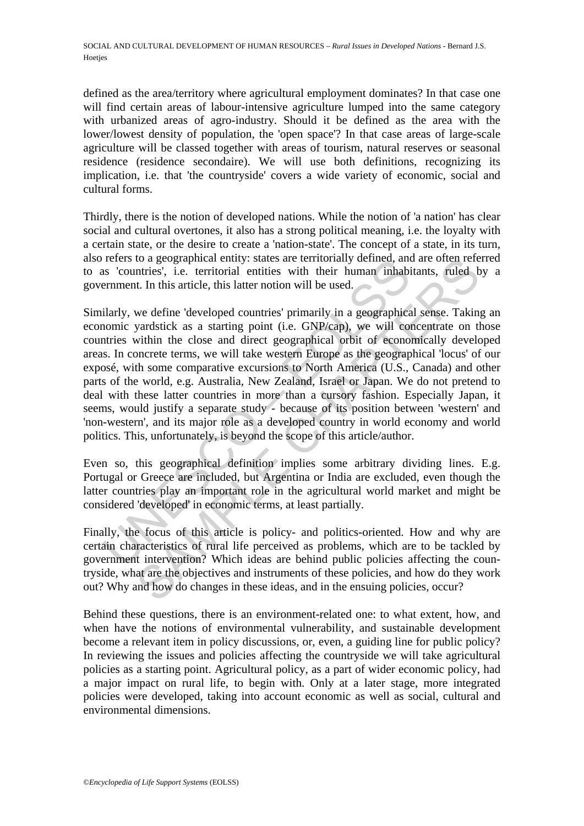SOCIAL AND CULTURAL DEVELOPMENT OF HUMAN RESOURCES – *Rural Issues in Developed Nations* - Bernard J.S. Hoeties

defined as the area/territory where agricultural employment dominates? In that case one will find certain areas of labour-intensive agriculture lumped into the same category with urbanized areas of agro-industry. Should it be defined as the area with the lower/lowest density of population, the 'open space'? In that case areas of large-scale agriculture will be classed together with areas of tourism, natural reserves or seasonal residence (residence secondaire). We will use both definitions, recognizing its implication, i.e. that 'the countryside' covers a wide variety of economic, social and cultural forms.

Thirdly, there is the notion of developed nations. While the notion of 'a nation' has clear social and cultural overtones, it also has a strong political meaning, i.e. the loyalty with a certain state, or the desire to create a 'nation-state'. The concept of a state, in its turn, also refers to a geographical entity: states are territorially defined, and are often referred to as 'countries', i.e. territorial entities with their human inhabitants, ruled by a government. In this article, this latter notion will be used.

relets to a geographical entity: states are territorially derined, and<br>as 'countries', i.e. territorial entities with their human inhabi<br>ernment. In this article, this latter notion will be used.<br>ilarly, we define 'develop to a geographical entity: states are territorially derined, and are often reter-<br>then's, i.e. territorial entities with their human inhabitants, ruled b<br>t. In this article, this latter notion will be used.<br>We define 'devel Similarly, we define 'developed countries' primarily in a geographical sense. Taking an economic yardstick as a starting point (i.e. GNP/cap), we will concentrate on those countries within the close and direct geographical orbit of economically developed areas. In concrete terms, we will take western Europe as the geographical 'locus' of our exposé, with some comparative excursions to North America (U.S., Canada) and other parts of the world, e.g. Australia, New Zealand, Israel or Japan. We do not pretend to deal with these latter countries in more than a cursory fashion. Especially Japan, it seems, would justify a separate study - because of its position between 'western' and 'non-western', and its major role as a developed country in world economy and world politics. This, unfortunately, is beyond the scope of this article/author.

Even so, this geographical definition implies some arbitrary dividing lines. E.g. Portugal or Greece are included, but Argentina or India are excluded, even though the latter countries play an important role in the agricultural world market and might be considered 'developed' in economic terms, at least partially.

Finally, the focus of this article is policy- and politics-oriented. How and why are certain characteristics of rural life perceived as problems, which are to be tackled by government intervention? Which ideas are behind public policies affecting the countryside, what are the objectives and instruments of these policies, and how do they work out? Why and how do changes in these ideas, and in the ensuing policies, occur?

Behind these questions, there is an environment-related one: to what extent, how, and when have the notions of environmental vulnerability, and sustainable development become a relevant item in policy discussions, or, even, a guiding line for public policy? In reviewing the issues and policies affecting the countryside we will take agricultural policies as a starting point. Agricultural policy, as a part of wider economic policy, had a major impact on rural life, to begin with. Only at a later stage, more integrated policies were developed, taking into account economic as well as social, cultural and environmental dimensions.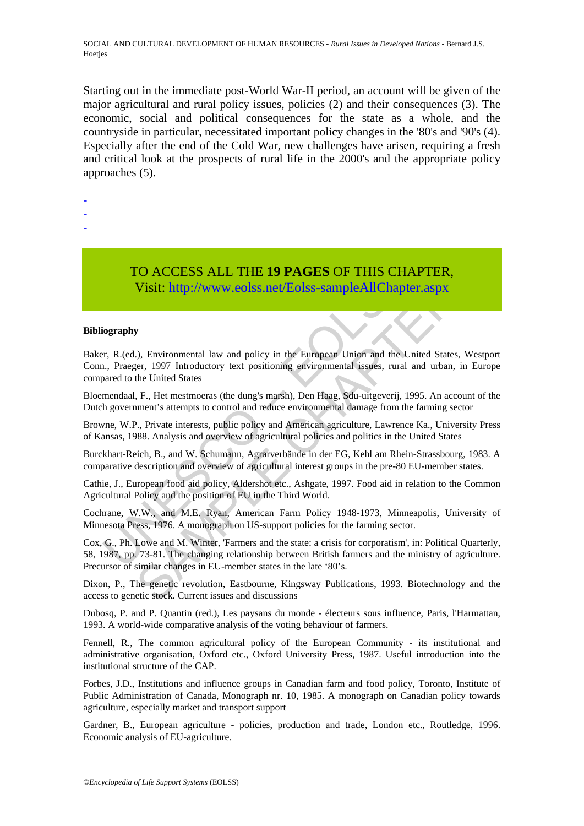SOCIAL AND CULTURAL DEVELOPMENT OF HUMAN RESOURCES - *Rural Issues in Developed Nations* - Bernard J.S. Hoetjes

Starting out in the immediate post-World War-II period, an account will be given of the major agricultural and rural policy issues, policies (2) and their consequences (3). The economic, social and political consequences for the state as a whole, and the countryside in particular, necessitated important policy changes in the '80's and '90's (4). Especially after the end of the Cold War, new challenges have arisen, requiring a fresh and critical look at the prospects of rural life in the 2000's and the appropriate policy approaches (5).

-

- -
- -

# TO ACCESS ALL THE **19 PAGES** OF THIS CHAPTER,

Visit: http://www.eolss.net/Eolss-sampleAllChapter.aspx

#### **Bibliography**

TO ACCESS ALL THE 19 PAGES OF THIS CHA<br>Visit: http://www.eolss.net/Eolss-sampleAllChapte<br>ography<br>regraphy<br>regraphy<br>mer, R. (ed.), Environmental law and policy in the European Union and the U<br>..., Praeger, 1997 Introductory Baker, R.(ed.), Environmental law and policy in the European Union and the United States, Westport Conn., Praeger, 1997 Introductory text positioning environmental issues, rural and urban, in Europe compared to the United States

Bloemendaal, F., Het mestmoeras (the dung's marsh), Den Haag, Sdu-uitgeverij, 1995. An account of the Dutch government's attempts to control and reduce environmental damage from the farming sector

Browne, W.P., Private interests, public policy and American agriculture, Lawrence Ka., University Press of Kansas, 1988. Analysis and overview of agricultural policies and politics in the United States

Burckhart-Reich, B., and W. Schumann, Agrarverbände in der EG, Kehl am Rhein-Strassbourg, 1983. A comparative description and overview of agricultural interest groups in the pre-80 EU-member states.

Cathie, J., European food aid policy, Aldershot etc., Ashgate, 1997. Food aid in relation to the Common Agricultural Policy and the position of EU in the Third World.

Cochrane, W.W., and M.E. Ryan, American Farm Policy 1948-1973, Minneapolis, University of Minnesota Press, 1976. A monograph on US-support policies for the farming sector.

TO ACCESS ALL THE 19 PAGES OF THIS CHAPTER,<br>
Visit: http://www.eolss.net/Eolss-sampleAllChapter.aspx<br>
97<br>
2). Environmental law and policy in the European Union and the United States, West<br>
1, F., 1997 Introductory text po Cox, G., Ph. Lowe and M. Winter, 'Farmers and the state: a crisis for corporatism', in: Political Quarterly, 58, 1987, pp. 73-81. The changing relationship between British farmers and the ministry of agriculture. Precursor of similar changes in EU-member states in the late '80's.

Dixon, P., The genetic revolution, Eastbourne, Kingsway Publications, 1993. Biotechnology and the access to genetic stock. Current issues and discussions

Dubosq, P. and P. Quantin (red.), Les paysans du monde - électeurs sous influence, Paris, l'Harmattan, 1993. A world-wide comparative analysis of the voting behaviour of farmers.

Fennell, R., The common agricultural policy of the European Community - its institutional and administrative organisation, Oxford etc., Oxford University Press, 1987. Useful introduction into the institutional structure of the CAP.

Forbes, J.D., Institutions and influence groups in Canadian farm and food policy, Toronto, Institute of Public Administration of Canada, Monograph nr. 10, 1985. A monograph on Canadian policy towards agriculture, especially market and transport support

Gardner, B., European agriculture - policies, production and trade, London etc., Routledge, 1996. Economic analysis of EU-agriculture.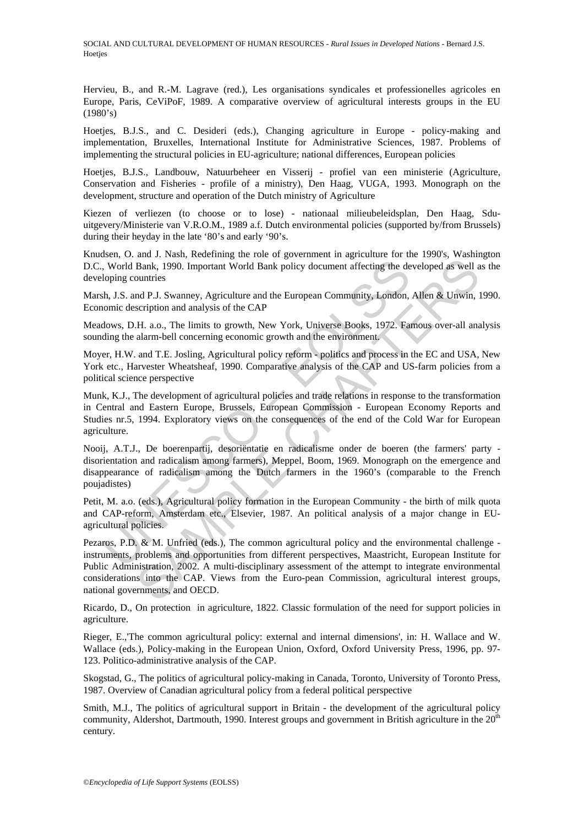SOCIAL AND CULTURAL DEVELOPMENT OF HUMAN RESOURCES - *Rural Issues in Developed Nations* - Bernard J.S. Hoetjes

Hervieu, B., and R.-M. Lagrave (red.), Les organisations syndicales et professionelles agricoles en Europe, Paris, CeViPoF, 1989. A comparative overview of agricultural interests groups in the EU  $(1980's)$ 

Hoetjes, B.J.S., and C. Desideri (eds.), Changing agriculture in Europe - policy-making and implementation, Bruxelles, International Institute for Administrative Sciences, 1987. Problems of implementing the structural policies in EU-agriculture; national differences, European policies

Hoetjes, B.J.S., Landbouw, Natuurbeheer en Visserij - profiel van een ministerie (Agriculture, Conservation and Fisheries - profile of a ministry), Den Haag, VUGA, 1993. Monograph on the development, structure and operation of the Dutch ministry of Agriculture

Kiezen of verliezen (to choose or to lose) - nationaal milieubeleidsplan, Den Haag, Sduuitgevery/Ministerie van V.R.O.M., 1989 a.f. Dutch environmental policies (supported by/from Brussels) during their heyday in the late '80's and early '90's.

Knudsen, O. and J. Nash, Redefining the role of government in agriculture for the 1990's, Washington D.C., World Bank, 1990. Important World Bank policy document affecting the developed as well as the developing countries

Marsh, J.S. and P.J. Swanney, Agriculture and the European Community, London, Allen & Unwin, 1990. Economic description and analysis of the CAP

Meadows, D.H. a.o., The limits to growth, New York, Universe Books, 1972. Famous over-all analysis sounding the alarm-bell concerning economic growth and the environment.

Moyer, H.W. and T.E. Josling, Agricultural policy reform - politics and process in the EC and USA, New York etc., Harvester Wheatsheaf, 1990. Comparative analysis of the CAP and US-farm policies from a political science perspective

(world Bank, 1990). Important World Bank policy document affecting the deping countries<br>
An J.S. and P.J. Swanney, Agriculture and the European Community, London,<br>
h.J.S. and P.J. Swanney, Agriculture and the European Comm Munk, K.J., The development of agricultural policies and trade relations in response to the transformation in Central and Eastern Europe, Brussels, European Commission - European Economy Reports and Studies nr.5, 1994. Exploratory views on the consequences of the end of the Cold War for European agriculture.

Nooij, A.T.J., De boerenpartij, desoriëntatie en radicalisme onder de boeren (the farmers' party disorientation and radicalism among farmers), Meppel, Boom, 1969. Monograph on the emergence and disappearance of radicalism among the Dutch farmers in the 1960's (comparable to the French poujadistes)

Petit, M. a.o. (eds.), Agricultural policy formation in the European Community - the birth of milk quota and CAP-reform, Amsterdam etc., Elsevier, 1987. An political analysis of a major change in EUagricultural policies.

man's reason, recosting in other of given<br>manne, 1990. Important World Bank policy document affecting the developed as well a<br>Bank, 1990. Important World Bank policy document affecting the developed as well a<br>ountries<br>seri Pezaros, P.D. & M. Unfried (eds.), The common agricultural policy and the environmental challenge instruments, problems and opportunities from different perspectives, Maastricht, European Institute for Public Administration, 2002. A multi-disciplinary assessment of the attempt to integrate environmental considerations into the CAP. Views from the Euro-pean Commission, agricultural interest groups, national governments, and OECD.

Ricardo, D., On protection in agriculture, 1822. Classic formulation of the need for support policies in agriculture.

Rieger, E.,'The common agricultural policy: external and internal dimensions', in: H. Wallace and W. Wallace (eds.), Policy-making in the European Union, Oxford, Oxford University Press, 1996, pp. 97- 123. Politico-administrative analysis of the CAP.

Skogstad, G., The politics of agricultural policy-making in Canada, Toronto, University of Toronto Press, 1987. Overview of Canadian agricultural policy from a federal political perspective

Smith, M.J., The politics of agricultural support in Britain - the development of the agricultural policy community, Aldershot, Dartmouth, 1990. Interest groups and government in British agriculture in the 20<sup>th</sup> century.